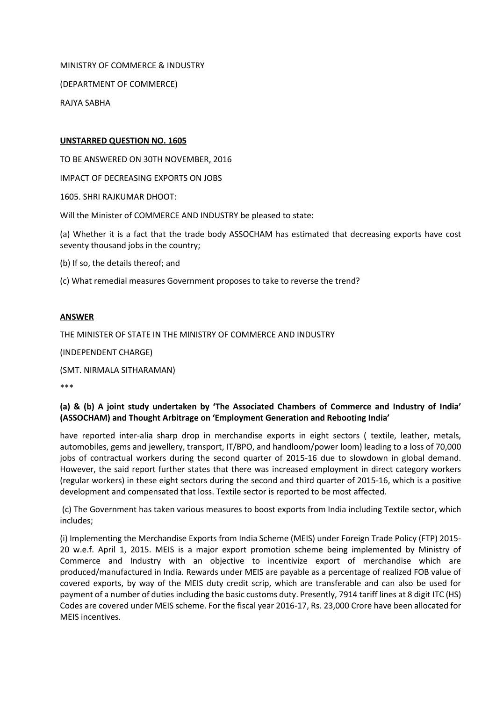MINISTRY OF COMMERCE & INDUSTRY

(DEPARTMENT OF COMMERCE)

RAJYA SABHA

## **UNSTARRED QUESTION NO. 1605**

TO BE ANSWERED ON 30TH NOVEMBER, 2016

IMPACT OF DECREASING EXPORTS ON JOBS

1605. SHRI RAJKUMAR DHOOT:

Will the Minister of COMMERCE AND INDUSTRY be pleased to state:

(a) Whether it is a fact that the trade body ASSOCHAM has estimated that decreasing exports have cost seventy thousand jobs in the country;

(b) If so, the details thereof; and

(c) What remedial measures Government proposes to take to reverse the trend?

## **ANSWER**

THE MINISTER OF STATE IN THE MINISTRY OF COMMERCE AND INDUSTRY

(INDEPENDENT CHARGE)

(SMT. NIRMALA SITHARAMAN)

\*\*\*

## **(a) & (b) A joint study undertaken by 'The Associated Chambers of Commerce and Industry of India' (ASSOCHAM) and Thought Arbitrage on 'Employment Generation and Rebooting India'**

have reported inter-alia sharp drop in merchandise exports in eight sectors ( textile, leather, metals, automobiles, gems and jewellery, transport, IT/BPO, and handloom/power loom) leading to a loss of 70,000 jobs of contractual workers during the second quarter of 2015-16 due to slowdown in global demand. However, the said report further states that there was increased employment in direct category workers (regular workers) in these eight sectors during the second and third quarter of 2015-16, which is a positive development and compensated that loss. Textile sector is reported to be most affected.

(c) The Government has taken various measures to boost exports from India including Textile sector, which includes;

(i) Implementing the Merchandise Exports from India Scheme (MEIS) under Foreign Trade Policy (FTP) 2015- 20 w.e.f. April 1, 2015. MEIS is a major export promotion scheme being implemented by Ministry of Commerce and Industry with an objective to incentivize export of merchandise which are produced/manufactured in India. Rewards under MEIS are payable as a percentage of realized FOB value of covered exports, by way of the MEIS duty credit scrip, which are transferable and can also be used for payment of a number of duties including the basic customs duty. Presently, 7914 tariff lines at 8 digit ITC (HS) Codes are covered under MEIS scheme. For the fiscal year 2016-17, Rs. 23,000 Crore have been allocated for MEIS incentives.